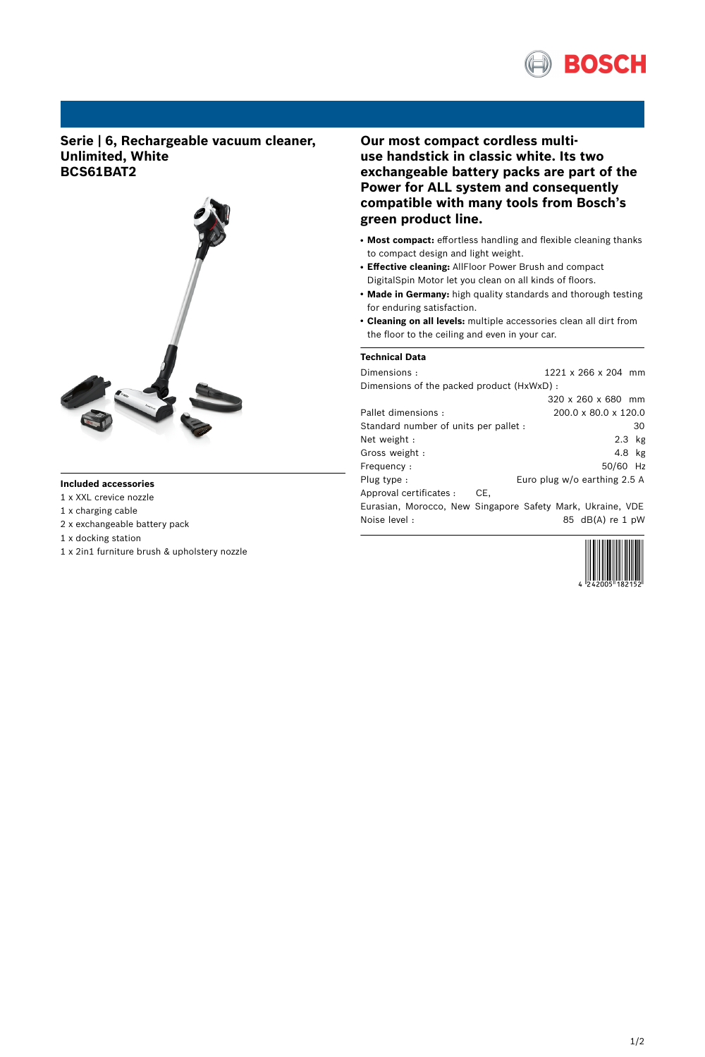

**Serie | 6, Rechargeable vacuum cleaner, Unlimited, White BCS61BAT2**



# **Included accessories**

- 1 x XXL crevice nozzle
- 1 x charging cable
- 2 x exchangeable battery pack
- 1 x docking station
- 1 x 2in1 furniture brush & upholstery nozzle

**Our most compact cordless multiuse handstick in classic white. Its two exchangeable battery packs are part of the Power for ALL system and consequently compatible with many tools from Bosch's green product line.**

- **Most compact:** effortless handling and flexible cleaning thanks to compact design and light weight.
- **Effective cleaning:** AllFloor Power Brush and compact DigitalSpin Motor let you clean on all kinds of floors.
- **Made in Germany:** high quality standards and thorough testing for enduring satisfaction.
- **Cleaning on all levels:** multiple accessories clean all dirt from the floor to the ceiling and even in your car.

## **Technical Data**

| Dimensions:                               | 1221 x 266 x 204 mm                                        |
|-------------------------------------------|------------------------------------------------------------|
| Dimensions of the packed product (HxWxD): |                                                            |
|                                           | $320 \times 260 \times 680$ mm                             |
| Pallet dimensions:                        | 200.0 x 80.0 x 120.0                                       |
| Standard number of units per pallet :     | 30                                                         |
| Net weight:                               | $2.3$ $kg$                                                 |
| Gross weight:                             | 4.8 kg                                                     |
| Frequency:                                | 50/60 Hz                                                   |
| Plug type :                               | Euro plug w/o earthing 2.5 A                               |
| Approval certificates :                   | CE.                                                        |
|                                           | Eurasian, Morocco, New Singapore Safety Mark, Ukraine, VDE |
| Noise level:                              | 85 $dB(A)$ re 1 pW                                         |
|                                           |                                                            |